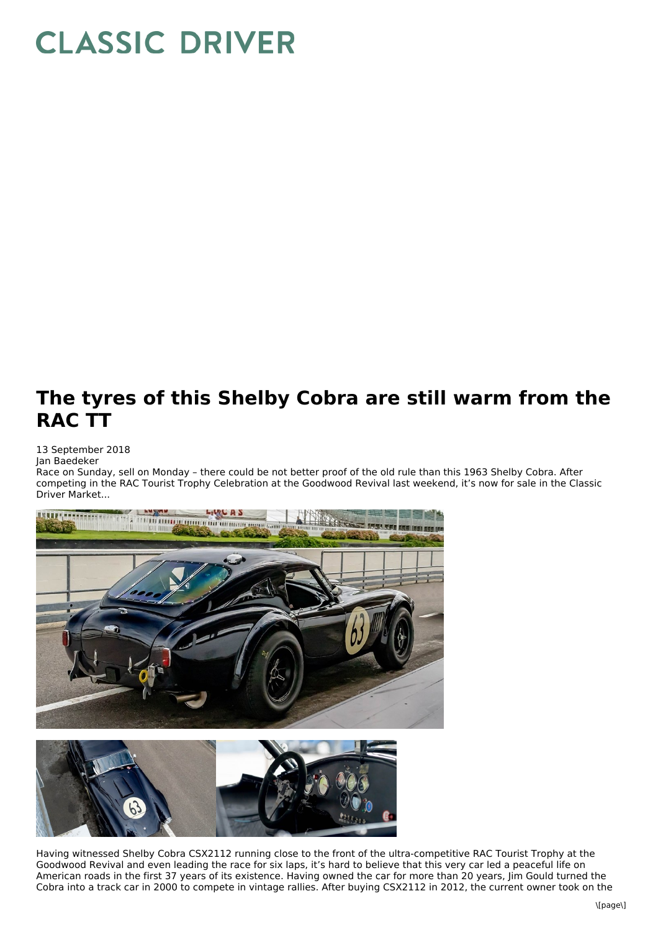## **CLASSIC DRIVER**

## **The tyres of this Shelby Cobra are still warm from the RAC TT**

## 13 September 2018

Jan Baedeker

Race on Sunday, sell on Monday – there could be not better proof of the old rule than this 1963 Shelby Cobra. After competing in the RAC Tourist Trophy Celebration at the Goodwood Revival last weekend, it's now for sale in the Classic Driver Market...





Having witnessed Shelby Cobra CSX2112 running close to the front of the ultra-competitive RAC Tourist Trophy at the Goodwood Revival and even leading the race for six laps, it's hard to believe that this very car led a peaceful life on American roads in the first 37 years of its existence. Having owned the car for more than 20 years, Jim Gould turned the Cobra into a track car in 2000 to compete in vintage rallies. After buying CSX2112 in 2012, the current owner took on the